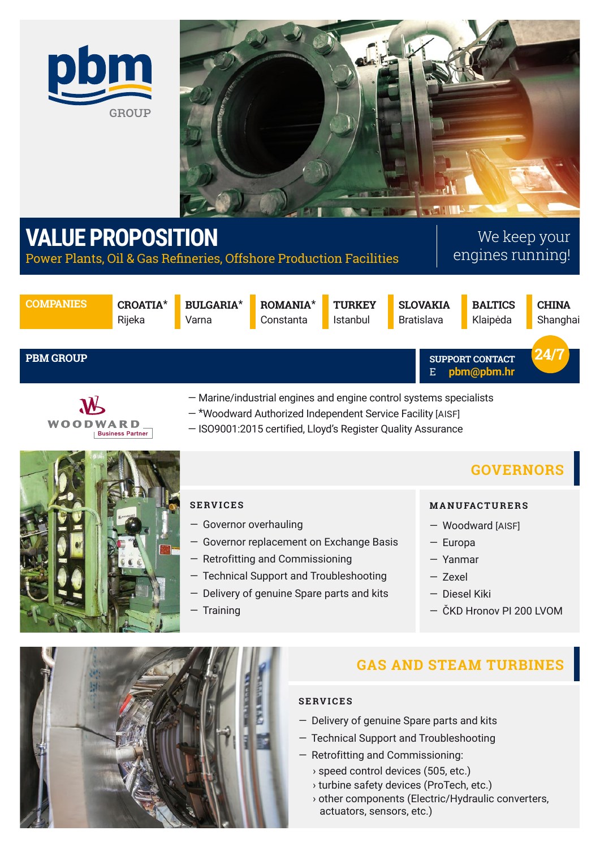



# **VALUE PROPOSITION**

Power Plants, Oil & Gas Refineries, Offshore Production Facilities

# We keep your engines running!

**COMPANIES CROATIA**\*

**PBM GROUP**

Rijeka

**BULGARIA**\* Varna

**ROMANIA**\* Constanta **TURKEY** Istanbul

**SLOVAKIA** Bratislava

**BALTICS** Klaipėda

**CHINA** Shanghai

#### E **pbm@pbm.hr SUPPORT CONTACT 24/7**

- Marine/industrial engines and engine control systems specialists
- \*Woodward Authorized Independent Service Facility [AISF]
- ISO9001:2015 certified, Lloyd's Register Quality Assurance



**WOODWARD** 

Business Partner

### **SERVICES**

- Governor overhauling
- Governor replacement on Exchange Basis
- Retrofitting and Commissioning
- Technical Support and Troubleshooting
- Delivery of genuine Spare parts and kits
- Training

# **GOVERNORS**

#### **M A N U FAC T U R E R S**

- Woodward [AISF]
- Europa
- Yanmar
- Zexel
- Diesel Kiki
- ČKD Hronov PI 200 LVOM



# **GAS AND STEAM TURBINES**

### **SERVICES**

- Delivery of genuine Spare parts and kits
- Technical Support and Troubleshooting
- Retrofitting and Commissioning:
	- › speed control devices (505, etc.)
	- › turbine safety devices (ProTech, etc.)
	- › other components (Electric/Hydraulic converters, actuators, sensors, etc.)